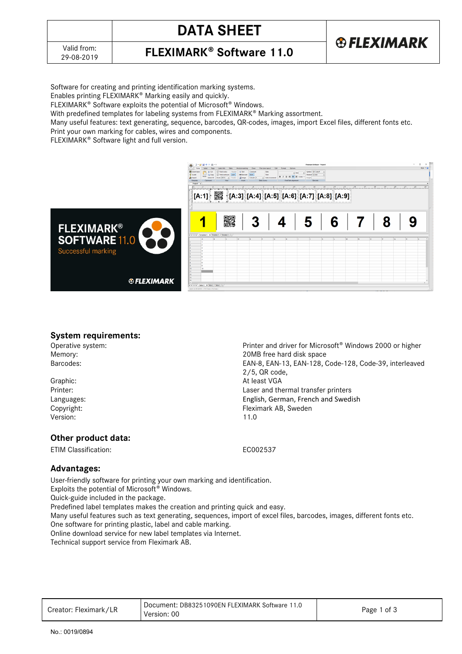

# **DATA SHEET**





Software for creating and printing identification marking systems.

Enables printing FLEXIMARK® Marking easily and quickly.

FLEXIMARK<sup>®</sup> Software exploits the potential of Microsoft<sup>®</sup> Windows.

With predefined templates for labeling systems from FLEXIMARK® Marking assortment.

Many useful features: text generating, sequence, barcodes, QR-codes, images, import Excel files, different fonts etc.

Print your own marking for cables, wires and components.

FLEXIMARK<sup>®</sup> Software light and full version.



## **System requirements:**

Operative system: Printer and driver for Microsoft<sup>®</sup> Windows 2000 or higher<br>Memory: Printer and driver for Microsoft<sup>®</sup> Windows 2000 or higher<br>20MB free hard disk space Memory:<br>
Barcodes:<br>
Barcodes:<br>
20MB free hard disk space

Graphic: At least VGA Printer: Laser and thermal transfer printers Languages: English, German, French and Swedish Copyright: Fleximark AB, Sweden Version: 11.0

# **Other product data:**

ETIM Classification: EC002537

2/5, QR code,

EAN-8, EAN-13, EAN-128, Code-128, Code-39, interleaved

# **Advantages:**

User-friendly software for printing your own marking and identification. Exploits the potential of Microsoft<sup>®</sup> Windows. Quick-guide included in the package. Predefined label templates makes the creation and printing quick and easy. Many useful features such as text generating, sequences, import of excel files, barcodes, images, different fonts etc. One software for printing plastic, label and cable marking. Online download service for new label templates via Internet. Technical support service from Fleximark AB.

| Creator: Fleximark/LR | Document: DB83251090EN FLEXIMARK Software 11.0<br>Version: 00 | Page 1 of 3 |
|-----------------------|---------------------------------------------------------------|-------------|
|-----------------------|---------------------------------------------------------------|-------------|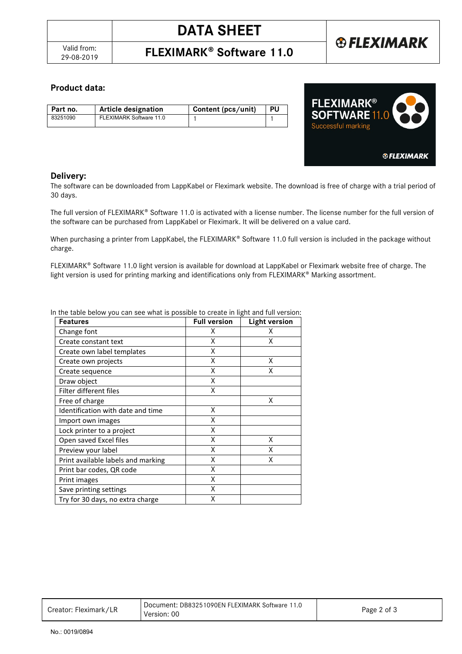**FLEXIMARK<sup>®</sup> Software 11.0** 

# **®FLEXIMARK**

# **Product data:**

| Part no. | <b>Article designation</b> | Content (pcs/unit) | -PU |
|----------|----------------------------|--------------------|-----|
| 83251090 | FLEXIMARK Software 11.0    |                    |     |



## **Delivery:**

The software can be downloaded from LappKabel or Fleximark website. The download is free of charge with a trial period of 30 days.

The full version of FLEXIMARK® Software 11.0 is activated with a license number. The license number for the full version of the software can be purchased from LappKabel or Fleximark. It will be delivered on a value card.

When purchasing a printer from LappKabel, the FLEXIMARK® Software 11.0 full version is included in the package without charge.

FLEXIMARK<sup>®</sup> Software 11.0 light version is available for download at LappKabel or Fleximark website free of charge. The light version is used for printing marking and identifications only from FLEXIMARK® Marking assortment.

| <b>Features</b>                    | <b>Full version</b> | <b>Light version</b> |
|------------------------------------|---------------------|----------------------|
| Change font                        | X                   | x                    |
| Create constant text               | Χ                   | Χ                    |
| Create own label templates         | χ                   |                      |
| Create own projects                | Χ                   | Χ                    |
| Create sequence                    | Χ                   | χ                    |
| Draw object                        | Χ                   |                      |
| Filter different files             | Χ                   |                      |
| Free of charge                     |                     | χ                    |
| Identification with date and time  | Χ                   |                      |
| Import own images                  | χ                   |                      |
| Lock printer to a project          | Χ                   |                      |
| Open saved Excel files             | X                   | x                    |
| Preview your label                 | X                   | Χ                    |
| Print available labels and marking | X                   | X                    |
| Print bar codes, QR code           | X                   |                      |
| Print images                       | X                   |                      |
| Save printing settings             | X                   |                      |
| Try for 30 days, no extra charge   | X                   |                      |

In the table below you can see what is possible to create in light and full version:

| Creator: Fleximark/LR | Document: DB83251090EN FLEXIMARK Software 11.0<br>Version: 00 | Page 2 of 3 |
|-----------------------|---------------------------------------------------------------|-------------|
|-----------------------|---------------------------------------------------------------|-------------|